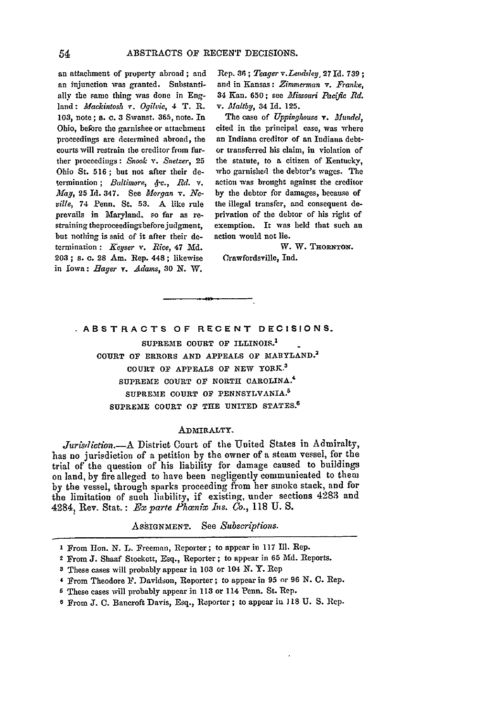an attachment of property abroad **;** and an injunction was granted. Substantially the same thing was done in England: *Mackintosh v. Ogilvie*, 4 T. R. **103,** note; **s.** c. **3 Swaust. 365,** note. In Ohio, before the garnishee or attachment proceedings are determined abroad, the courts will restrain the creditor from further proceedings **:** *Snook v. Snetzer,* **25** Ohio St. **516 ; but** not after their determination; *Baltimore, 4-c., Rd.* v. *May,* **25 Id.** 347. See *Morgan v. Neville,* 74 Penn. St. **.53. A** like rule prevails in Maryland. so far as restraining theproceedingsbeforejudgment, but nothing is said of it after their determination **:** *Keyser v. Rice,* 47 Md. **203 ;** *s.* **c. 28** Am. Rep. 448; likewise in Iowa: *Hager Y. Adams,* 30 **N.** W.

Rep. *36; Teager v.Lendsley,* 27 Id. **739;** and in Kansas: *Zimmerman v. Franke,* 34 Ken. 650; *see Missouri Pacfic Rd. v. Maltby,* 34 **Id.** 125.

The case of *Uppinghouse T. Mundel,* cited in the principal case, was where an Indiana creditor of an Indiana debtor transferred his claim, in violation of the statute, *to* a citizen of Kentucky, who garnished the debtor's wages. The action was brought against the creditor by the debtor for damages, because of the illegal transfer, and consequent deprivation of the debtor of his right of exemption. It was held that such an action would not lie.

W. W. THORNTON.

Crawfordsville, Ind.

**ABSTRACTS OF RECENT DECISIONS.**

**SUPREME COURT** OF ILLINOIS.' **COURT OF** ERRORS **AND** APPEALS **OF MARYLAND. <sup>2</sup>** COURT OF **APPEALS OF NEW** YORK.<sup>3</sup> **SUPREME COURT OF** NORTH CAROLINA.' SUPREME **COURT OF PENNSYLVANIA. <sup>5</sup>** SUPREME **COURT** OF THE UNITED **STATES.8**

#### ADMIRALTY.

Jurisdiction.-- A District Court of the United States in Admiralty, has no jurisdiction of a petition by the owner of a steam vessel, for **the** trial of the question of his liability for damage caused to buildings on land, by fire alleged to have been negligently communicated to them by the vessel, through sparks proceeding from her smoke stack, and for the limitation of such liability, if existing, under sections 4283 and 4284, Rev. Stat.: *Exparte Phwnix Ins. Co.,* 118 U. S.

**ASSIGNMENT.** See *Subscriptions.*

- **I** From Ilon. N. L. Freeman, Reporter; to appear in 117 Il. Rep.
- 2 From **J.** Sheaf Stoekett, Esq., Reporter; to appear in **65 Md.** Reports.
- **<sup>3</sup>**These cases will probably appear **in** 103 or 104 N. Y. Rep
- **4** From Theodore **F.** Davidson, Reporter; to appear in 95 or **96 N. C.** Rep.
- **5** These cases will probably appear in **113** or 114 Penn. St. Rep.
- **6** From **J. C.** Bancroft Davis, Esq., Reporter ; to appear in **J 18** U. **S. Rep.**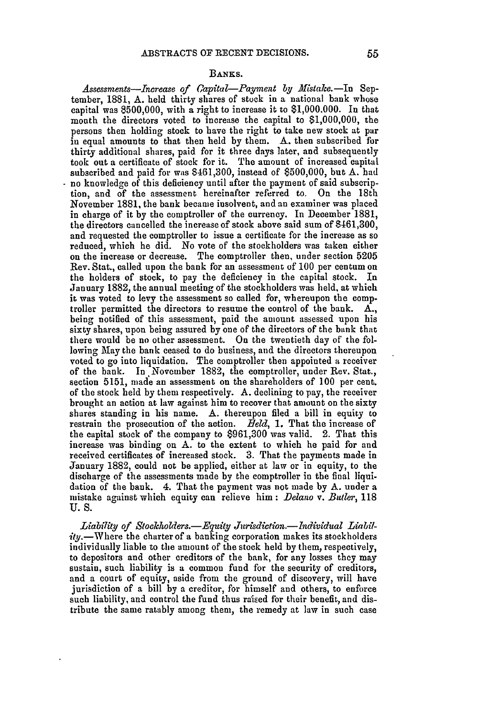### BANKS.

Assessments-Increase of *Capital-Payment by Mistake.*-In September, 1881, A. held thirty shares of stock in a national bank whose capital was 8500,000, with a right to increase it to \$1,000.000. In that month the directors voted to increase the capital to \$1,000,000, the persons then holding stock to have the right to take new stock at par in equal amounts to that then held by them. A. then subscribed for thirty additional shares, paid for it three days later, and subsequently took out a certificate of stock for it. The amount of increased capital subscribed and paid for was \$461,300, instead of \$500,000, but A. had no knowledge of this deficiency until after the payment of said subscription, and of the assessment hereinafter referred to. On the 18th November 1881, the bank became insolvent, and an examiner was placed in charge of it by the comptroller of the currency. In December 1881, the directors cancelled the increase of stock above said sum of \$461,300, and requested the comptroller to issue a certificate for the increase as so reduced, which he did. No vote of the stockholders was taken either on the increase or decrease. The comptroller then, under section **5205** Rev. Stat., called upon the bank for an assessment of 100 per centum on the holders of stock, to pay the deficiency in the capital stock. In January 1882, the annual meeting of the stockholders was held, at which it was voted to levy the assessment so called for, whereupon the comp. troller permitted the directors to resume the control of the bank. A., being notified of this assessment, paid the amount assessed upon his sixty shares, upon being assured **by** one of the directors of the bank that there would be no other assessment. On the twentieth day of the following May the bank ceased to do business, and the directors thereupon voted to go into liquidation. The comptroller then appointed a receiver of the bank. In November 1882, the comptroller, under Rev. Stat., section 5151, made an assessment on the shareholders of 100 per cent. of the stock held by them respectively. A. declining to pay, the receiver brought an action at law against him to recover that amount on the sixty shares standing in his name. A. thereupon filed a bill in equity to restrain the prosecution of the action. *Eeld,* **1.** That the increase of the capital stock of the company to **\$961,300** was valid. 2. That this increase was binding on A. to the extent to which he paid for and received certificates of increased stock. 3. That the payments made in January 1882, could not be applied, either at law or in equity, to the discharge of the assessments made by the comptroller in the final liquidation of the bank. 4. That the payment was not made by A. under a mistake against which equity can relieve him: *Delano v. Butler,* 118 U.S.

Liability of Stockholders.—Equity Jurisdiction.—Individual Liabil $ity$ . Where the charter of a banking corporation makes its stockholders individually liable to the amount of the stock held by them, respectively, to depositors and other creditors of the bank, for any losses they may sustain, such liability is a common fund for the security of creditors, and a court of equity, aside from the ground of discovery, will have jurisdiction of a bill by a creditor, for himself and others, to enforce such liability, and control the fund thus raised for their benefit, and distribute the same ratably among them, the remedy at law in such case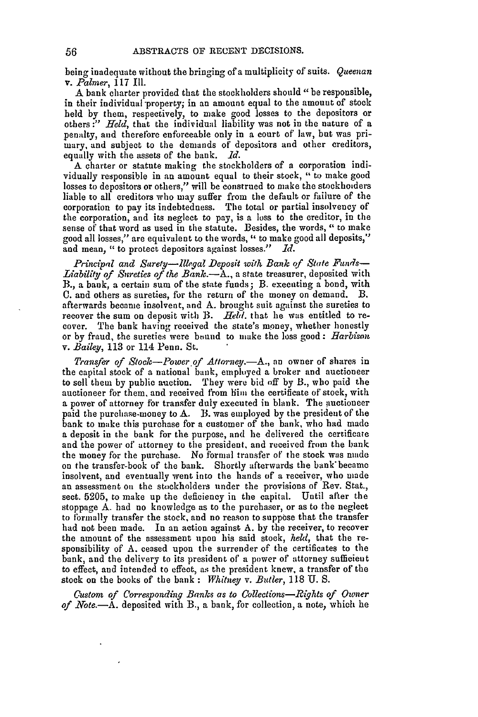being inadequate without the bringing of a multiplicity of suits. Queenan v. *Palmer,* 117 **111.**

A bank charter provided that the stockholders should *"be* responsible, in their individual property; in an amount equal to the amount of stock held by them, respectively, to make good losses to the depositors or others **:"** *Held,* that the individual liability was not in the nature of a penalty, and therefore enforceable only in a court of law, but was primary, and subject to the demands of depositors and other creditors, equally with the assets of the bank. *1d.*

A charter or statute making the stockholders of a corporation individually responsible in an amount equal to their stock, " to make good losses to depositors or others," will be construed to make the stockhoiders liable to all creditors who may suffer from the default or failure of the corporation to pay its indebtedness. The total or partial insolvency of the corporation, and its neglect to pay, is a loss to the creditor, in the sense of that word as used in the statute. Besides, the words, " to make good all losses," are equivalent to the words, " to make good all deposits," and mean, " to protect depositors against losses." *Id.*

*Principal and Surety-llegal Deposit with Bank of State Funds-*Liability of Sureties of the Bank.—A., a state treasurer, deposited with B., a bank, a certain sum of the state funds; B. executing a bond, with **0.** and others as sureties, for the return of the money on demand. B. afterwards became insolvent, and **A.** brought suit against the sureties to recover the sum on deposit with B. *Held*, that he was entitled to recover. The bank having received the state's money, whether honestly or by fraud, the sureties were bound to make the loss good: *Harbison v. Bailey,* 113 or 114 Penn. St.

*Transfer of Stock-Power of Attorney.-A.,* an owner of shares in the capital stock of a national bank, employed a broker and auctioneer to sell them by public auction. They were bid **off** by B., who paid the auctioneer for them, and received from him the certificate of stock, with a power of attorney for transfer duly executed in blank. The auctioneer paid the purchase-money to **A.** B. was employed by the president of the bank to make this purchase for a customer of the bank, who had made a deposit in the bank for the purpose, and he delivered the certificate and the power of attorney to the president, and received from the hank the money for the purchase. No formal transfer or the stock was **made** on the transfer-book of the bank. Shortly afterwards the bank'became insolvent, and eventually went into the hands of a receiver, who made an assessment on the stockholders under the provisions of Rev. Stat., sect. 5205, to make up the deficiency in the capital. Until after the stoppage A. had no knowledge as to the purchaser, or as to the neglect to formally transfer the stock, and no reason to suppose that the transfer had not been made. In an action against A. **by** the receiver, to recover the amount of the assessment upon his said stock, *held,* that the responsibility of A. ceased upon the surrender of the certificates to the bank, and the delivery to its president of a power of attorney sufficient to effect, and intended to effect, as the president knew, a transfer of the stock on the books of the bank **:** *Whitney v. Butler,* **118** U. S.

*Custom of Corresponding Banks as to Colletions-Rights of Owner* of *Note.*--A. deposited with B., a bank, for collection, a note, which he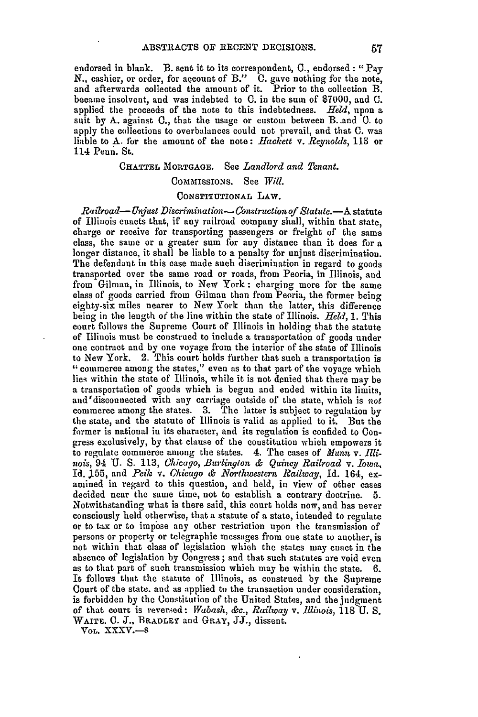endorsed in blank. B. sent it to its correspondent, C., endorsed **:** "Pay N., cashier, or order, for aqcount of B." C. gave nothing for the note, and afterwards collected the amount of it. Prior to the collection B. became insolvent, and was indebted to **0.** in the sum of **\$7000,** and **0.** applied the proceeds of the note to this indebtedness. *Held,* upon a suit by A. against 0., that the usage or custom between B..and **0.** to apply the collections to overbalances could not prevail, and that C. was liable to A. for the amount of the note: *Hackett v. Reynolds,* **113** or 114 Penn. St.

CHATTEL MORTGAGE. See *Landlord and Tenant*.

## COMMISSIONS. See Will.

## CONSTITUTIONAL LAW.

*Railroad- Unjust Discrimination- Construction of Statute.-A* statute of Illinois enacts that, if any railroad company shall, within that state, charge or receive for transporting passengers or freight of the same class, the same or a greater sum for any distance than it does for a longer distance, it shall be liable to a penalty for unjust discrimination. The defendant in this case made such discrimination in regard to goods transported over the same road or roads, from Peoria, in Illinois, and from Gilman, in Illinois, to New York: charging more for the same class of goods carried from Gilman than from Peoria, the former being eighty-six miles nearer to New York than the latter, this difference being in the length of the line within the state of Illinois. *Held*, 1. This court follows the Supreme Court of Illinois in holding that the statute of Illinois must be construed to include a transportation of goods under one contract and by one voyage from the interior of the state of Illinois to New York. 2. This court holds further that such a transportation is "commerce among the states," even as to that part of the voyage which lies within the state of Illinois, while it is not denied that there may be a transportation of goods which is begun and ended within its limits, aud'disconnected with any carriage outside of the state, which is *not* commerce among the states. 3. The latter is subject to regulation by the state, and the statute of Illinois is valid as applied to it. But the former is national in its character, and its regulation is confided to Congress exclusively, by that clause of the constitution which empowers it to regulate commerce among the states. 4. The cases of *Munn* v. *Illinois,* 94 U. **S.** 113, *Cicago, Burlington & Quincy Railroad* v. *Iowa,* Id. **J155,** and *Peil v. Chicago & NZorthwestern Railway,* Id. 164, examined in regard to this question, and held, in view of other cases decided near the same time, not to establish a contrary doctrine. **5.** Notwithstanding what is there said, this court holds now, and has never consciously held otherwise, that a statute of a state, intended to regulate or to tax or to impose any other restriction upon the transmission of persons or property or telegraphic messages from one state to another, is **not** within that class of legislation which the states may enact in the absence of legislation by Congress ; and that such statutes are void even as to that part of such transmission which may be within the state. **6.** It follows that the statute of Illinois, as construed by the Supreme Court of the state, and as applied to the transaction under consideration, is forbidden by the Constitution of the United States, and the judgment of that court is reversed: *Wabash, &c., Railway v. illinois,* **118 U.** S. WAITE. **C. J.,** BRADLEY and GRAY, JJ., dissent.

VoL. XXXV.-S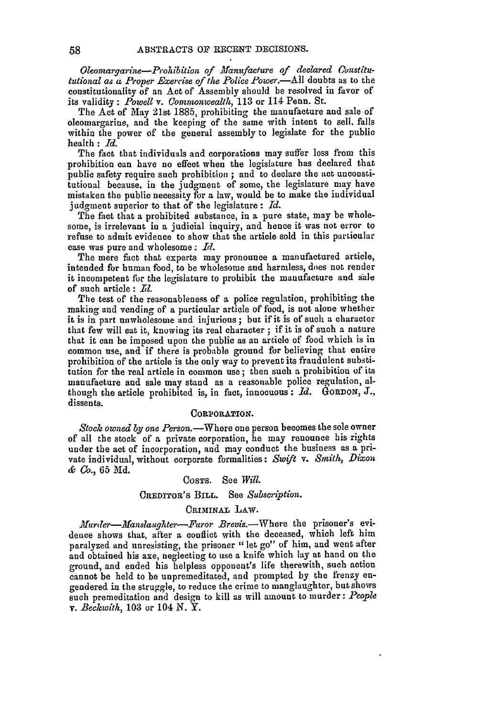*Oleornargarine-Prohlbition of Manufacture of declared (onstitututional as a Proper .Exercise of the Police Power.-All* doubts as to the constitutionality of an Act of Assembly should be resolved in favor of its validity: *Powell v. Commonwealth,* 113 or 114 Penn. St.

The Act of May 21st 1885, prohibiting the manufacture and sale of oleomargarine, and the keeping of the same with intent to sell. falls within the power of the general assembly to legislate for the public health : *Id.*

The fact that individuals and corporations may suffer loss from this prohibition can have no effect when the legislature has declared that public safety require such prohibition **;** and to declare the act unconstitutional because, in the judgment of some, the legislature may have mistaken the public necessity for a law, would be to make the individual judgment superior to that of the legislature : *Id.*

The fact that a prohibited substance, in a pure state, may be wholesome, is irrelevant in a judicial inquiry, and hence it was not error to refuse to admit evidence to show that the article sold in this particular case was pure and wholesome: *Id.*

The mere fact that experts may pronounce a manufactured article, intended for human food, to be wholesome and harmless, does not render it incompetent for the legislature to prohibit the manufacture and sale of such article : *11.*

The test of the reasonableness of a police regulation, prohibiting the making and vending of a particular article of food, is not alone whether it is in part unwholesome and injurious ; but if it is of such a character that few will eat it, knowing its real character **;** if it is of such a nature that it can be imposed upon the public as an article of food which is in common use, and if there is probable ground for believing that entire prohibition of the article is the only way to prevent its fraudulent substitution for the real article in common use; then such a prohibition of its manufacture and sale may stand as a reasonable police regulation, although the article prohibited is, in fact, innocuous : *Id.* GORDON, *J.,* dissents.

#### **CORPORATION.**

*Stock owned by one* Person.-Where one person becomes the sole owner of all the stock of a private corporation, he may renounce his rights under the act of incorporation, and may conduct the business as a private individual, without corporate formalities: *Swift v. Smith, Dixon & Co.,* 65 Md.

#### **COSTS.** See *Will.*

### **CREDITOR'S** BILL. See *Subscription.*

### CRIMINAL LAW.

*Hurder-Afanslaughter-Faror Brevis.-Where* the prisoner's evidence shows that, after a conflict with the deceased, which left him paralyzed and unresisting, the prisoner "let go" of him, and went after and obtained his axe, neglecting to use a knife which lay at hand on the ground, and ended his helpless opponent's life therewith, such action cannot be held to be unpremeditated, and prompted by the frenzy engendered in the struggle, to reduce the crime to manglaughter, but shows such premeditation and design to kill as will amount to murder: *People v. Beckewith,* **103** or 104 N. Y.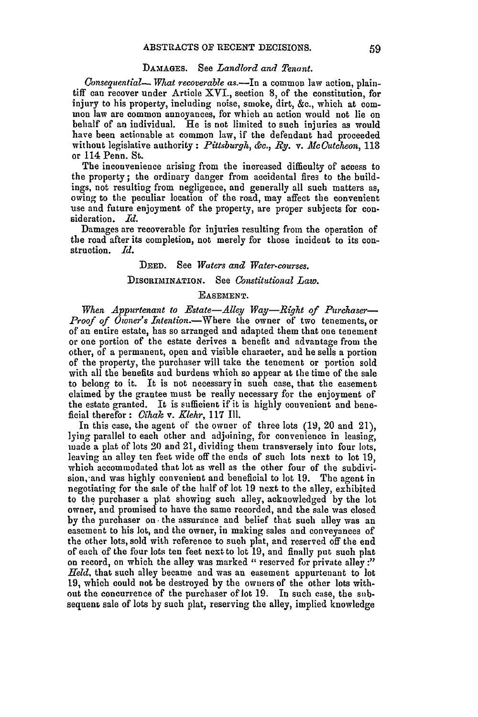#### DAMAGES. See *Landlord and Tenant.*

*Gonsequential- What recoverable* as.-In a common law action, plaintiff can recover under Article XVI., section **8,** of the constitution, for injury to his property, including noise, smoke, dirt, &c., which at common law are common annoyances, for which an action would not lie on behalf of an individual. He is not limited to such injuries as would have been actionable at common law, if the defendant had proceeded without legislative authority: *Pittsburgh, &c., Ry. v. McOutcheon, 113* or 114 Penn. St.

The inconvenience arising from the inoreased difficulty of access to the property; the ordinary danger from accidental fires to the buildings, not resulting from negligence, and generally all such matters as, owing to the peculiar location of the road, may affect the convenient use and future enjoyment of the property, are proper subjects for consideration. *Id.*

Damages are recoverable for injuries resulting from the operation of the road after its completion, not merely for those incident to its construction. *Id.*

# DEED. See *Waters and Water-courses.*

### DISCRIMINATION. See *Constitutional Law.*

#### EASEMENT.

When Appurtenant to Estate-Alley Way-Right of Purchaser-*Proof of Owner's Intention.-Where* the owner of two tenements, or of an entire estate, has so arranged and adapted them that one tenement or one portion of the estate derives a benefit and advantage from the other, of a permanent, open and visible character, and he sells a portion of the property, the purchaser will take the tenement or portion sold with all the benefits and burdens which so appear at the time of the sale to belong to it. It is not necessary in such case, that the easement claimed by the grantee must be really necessary for the enjoyment of the estate granted. It is sufficient if it is highly convenient and beneficial therefor : *Cihak v. Klehr*, 117 Ill.

In this case, the agent of the owner of three lots (19, 20 and 21), lying parallel to each other and adjoining, for convenience in leasing, made a plat of lots 20 and 21, dividing them transversely into four lots, leaving an alley ten feet wide off the ends of such lots next to lot 19, which accommodated that lot as well as the other four of the subdivision, and was highly convenient and beneficial to lot 19. The agent in negotiating for the sale of the half of lot 19 next to the alley, exhibited to the purchaser a plat showing such alley, acknowledged by the lot owner, and promised to have the same recorded, and the sale was closed by the purchaser on the assurance and belief that such alley was an easement to his lot, and the owner, in making sales and conveyances of the other lots, sold with reference to such plat, and reserved off the end of each of the four lots ten feet next to lot 19, and finally put such plat on record, on which the alley was marked " reserved for private alley :" *Held,* that such alley became and was an easement appurtenant to lot **19,** which could not be destroyed by the owners of the other lots without the concurrence of the purchaser of lot 19. In such case, the subsequent sale of lots by such plat, reserving the alley, implied knowledge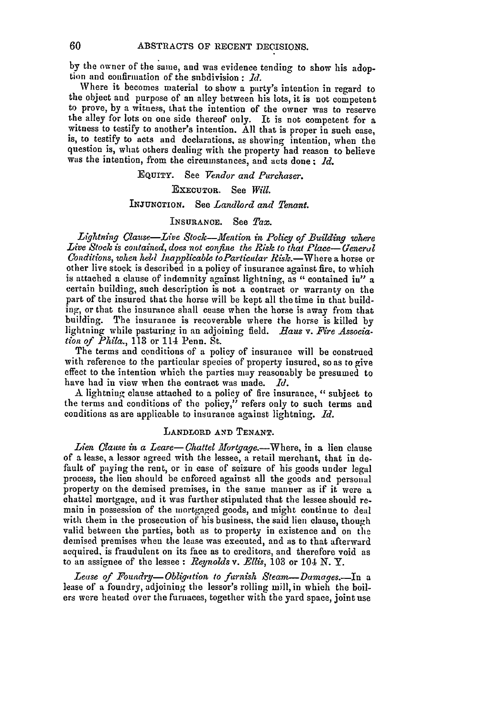by the owner of the same, and was evidence tending to show his adoption and confirmation of the snbdivision **:** *Id.*

Where it becomes material to show a party's intention in regard to the object and purpose of an alley between his lots, it is not competent to prove, by a witness, that the intention of the owner was to reserve the alley for lots on one side thereof only. It is not competent for a witness to testify to another's intention. All that is proper in such case, is, to testify to acts and declarations, as showing intention, when the question is, what others dealing with the property had reason to believe was the intention, from the circumstances, and acts done **.** *Id.*

EQUITY. See *Vendor and Purchaser.*

## ExEcuTOR. See *Will.*

### INJUNCTION. See *Landlord and Tenant.*

## INSURANCE. See *Tax.*

Lightning *Clause-Live Stock-Mention in Policy of Building where Live Stock is* contained, *does not confine the Risk to that Place- (eneral Conditions, when held Inapplicable toParticular Risk.*—Where a horse or other live stock is described in a policy of insurance against fire, to which is attached a clause of indemnity against lightning, as *"* contained in" a certain building, such description is not a contract or warranty on the part of the insured that the horse will be kept all the time in that building, or that the insurance shall cease when the horse is away from that building. The insurance is recoverable where the horse is killed by lightning while pasturing in an adjoining field. *Baus v. Fire Association of Phila.,* 113 or 114 Penn. St.

The terms and conditions of a policy of insurance will be construed with reference to the particular species of property insured, so as to give effect to the intention which the parties may reasonably be presumed to have had in view when the contract was made. *Id.*

A lightning clause attached to a policy of fire insurance, " subject to the terms and conditions of the policy," refers only to such terms and conditions as are applicable to insurance against lightning. *Id.*

## LANDLORD **AND TENANT.**

Lien *Clause in a Lease*— Chattel Mortgage.—Where, in a lien clause of a lease, a lessor agreed with the lessee, a retail merchant, that in default of paying the rent, or in case of seizure of his goods under legal process, the lien should be enforced against all the goods and personal property on the demised premises, in the same manner as if it were a chattel mortgage, and it was further stipulated that the lessee should remain in possession of the mortgaged goods, and might continue to deal with them in the prosecution of his business, the said lien clause, though valid between the parties, both as to property in existence and on the demised premises when the lease was executed, and as to that afterward acquired, is fraudulent on its face as to creditors, and therefore void as to an assignee of the lessee : *Reynolds* v. *Ellis,* 103 or 104 *N.* Y.

*Lease of Foundry-Obligation, to furnish Steam-Damages.-In* <sup>a</sup> lease of a foundry, adjoining the lessor's rolling mill, in which the boilers were heated over the furnaces, together with the yard space, joint use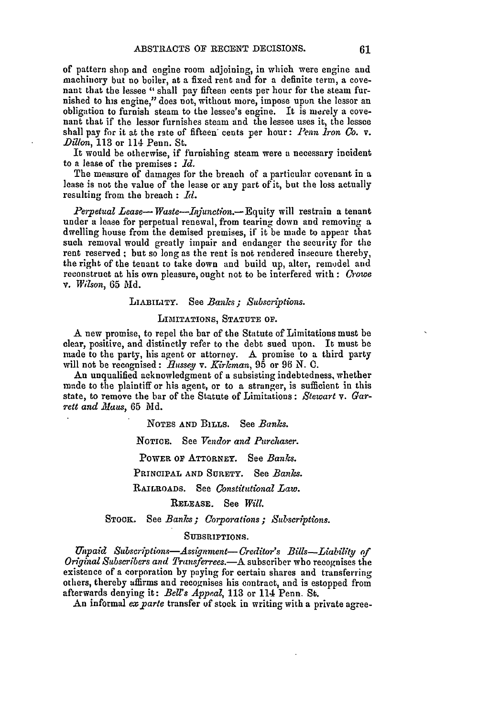of pattern shop and engine room adjoining, in which were engine and machinery but no boiler, at a fixed rent and for a definite term, a cove- nant that the lessee "shall pay fifteen cents per hour for the steam furnished to his engine," does not, without more, impose upon the lessor an obligation to furnish steam to the lessee's engine. It is mecely a cove- nant that **if** the lessor furnishes steam and the lessee uses it, the lessee shall pay for it at the rate of fifteen cents per hour: *Penn Iron Co.* v. *Dillon,* 113 or 114 Penn. St.

It would be otherwise, if furnishing steam were a necessary incident to a lease of the premises **:** *id.*

The measure of damages for the breach of a particular covenant in a lease is not the value of the lease or any part of it, but the loss actually resulting from the breach **:** *Id.*

*Perpetual Lease- Waste-Injunction.*- Equity will restrain a tenant under a lease for perpetual renewal, from tearing down and removing a dwelling house from the demised premises, if it be made to appear that such removal would greatly impair and endanger the security for **the** rent reserved **;** but so long as the rent is not rendered insecure thereby, the right of the tenant to take down and build up, alter, remodel and reconstruct at his own pleasure, ought not to be interfered with : Crowe *v. Wilson,* 65 **Md.**

## LIABILITY. See *Banks; Subscriptions.*

### LIMITATIONS, **STATUTE OF.**

A new promise, to repel the bar of the Statute of Limitations must be clear, positive, and distinctly refer to the debt sued upon. It must be nmade to the party, his agent or attorney. **A** promise to a third party **will** not be recognised: *Russey v. Kirkman,* **95** or 96 **N. C.**

An unqualified acknowledgment of a subsisting indebtedness, whether made to the plaintiff or his agent, or to a stranger, is sufficient in this state, to remove the bar of the Statute of Limitations: *Stewart v. Gar* $rett$  and *Maus*, 65 Md.

NOTES **AND** BILLS. See *Banks.*

NOTICE. See *Vendor and Purchaser.*

POWER or ATTORNEY. See *Banks.*

PRINCIPAL **AND** SURETY. See *Banks.*

RAILROADS. See *Constitutional Law.*

RELEASE. See *Will.*

STOCK. See *Banks; Corporations; Subscriptions.*

#### SUBSRIPTIONS.

*Unpaid Subscriptions-Assignment- Creditor's Bills-Liabilty of Original Subscribers and Trausferrees.-A* subscriber who recognises the existence of a corporation by paying for certain shares and transferring others, thereby affirms and recognises his contract, and is estopped from afterwards denying it: *Bell's Appeal,* **113** or 114 Penn. St.

An informal *ex parte* transfer of stock in writing with a private agree-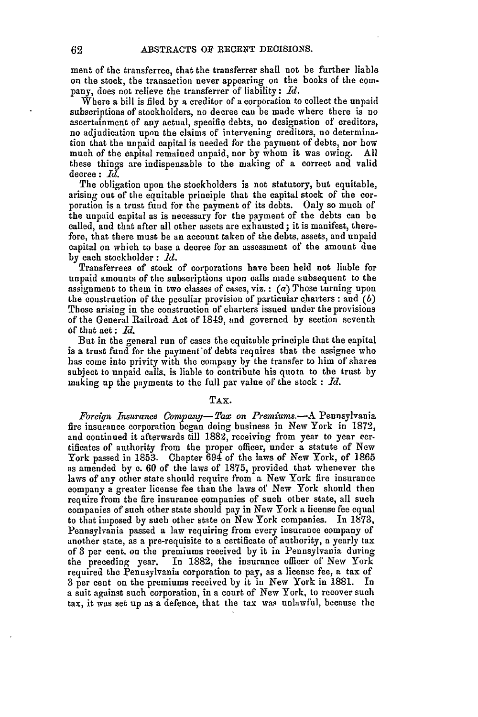ment of the transferree, that the transferrer shall not be further liable on the stock, the transaction never appearing on the books of the company, does not relieve the transferrer of liability: *Id.*

Where a bill is filed **by** a creditor of a corporation to collect the unpaid subscriptions of stockholders, no decree can be made where there is no ascertainment of any actual, specific debts, no designation of creditors, no adjudication upon the claims of intervening creditors, no determination that the unpaid capital is needed for the payment of debts, nor how much of the capital remained unpaid, nor by whom it was owing. All these things are indispensable to the making of a correct and valid decree: *Id.*

The obligation upon the stockholders is not statutory, but equitable, arising out of the equitable principle that the capital stock of the corporation is a trust fund for the payment of its debts. Only so much of the unpaid capital as is necessary for the payment of the debts can **be** called, and that after all other assets are exhausted ; it is manifest, therefore, that there must be an account taken of the debts, assets, and unpaid capital on which to base a decree for an assessment of the amount due **by** each stockholder : *Id.*

Transferrees of stock of corporations have been held not liable for unpaid amounts of the subscriptions upon calls made subsequent to the assignment to them in two classes of cases, viz. **:** (a) Those turning upon the construction of the peculiar provision of particular charters : and *(b)* Those arising in the construction of charters issued under the provisions of the General Railroad Act of 1849, and governed by section seventh of that act: *Id.*

But in the general run of cases the equitable principle that the capital is a trust fund for the payment of debts requires that the assignee who has come into privity with the company **by** the transfer to him of shares subject to unpaid calls, is liable to contribute his quota to the trust **by** making up the payments to the full par value of the stock : *Id.*

## TAx.

*Foreign Insurance Company-Tax on Premiums.-A* Pennsylvania fire insurance corporation began doing business in New York in 1872, and continued it afterwards till 1882, receiving from year to year certificates of authority from the proper officer, under a statute of New York passed in 1853. Chapter 694 of the laws of New York, of 1865 as amended by **c.** 60 of the laws of 1875, provided that whenever the laws of any other state should require from a New York fire insurance company a greater license fee than the laws of New York should then require from the fire insurance companies of such other state, all such companies of such other state should pay in New York a license fee equal to that imposed by such other state on New York companies. In 1873, Pennsylvania passed a law requiring from every insurance company of another state, as a pre-requisite to a certificate of authority, a yearly tax of 3 per cent. on the premiums received by it in Pennsylvania during the preceding year. In 1882, the insurance officer of New York required the Pennsylvania corporation to pay, as a license fee, a tax of **<sup>3</sup>**per cent on the premiums received by it in New York in 1881. In a suit against such corporation, in a court of New York, to recover such tax, it was set up as a defence, that the tax was unlawful, because the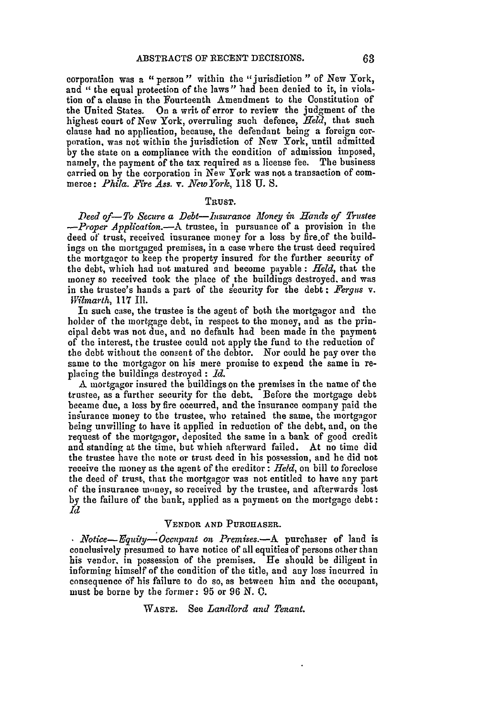corporation was a "person" within the "jurisdiction " of New York, and " the equal protection of the laws" had been denied to it, in violation of a clause in the Fourteenth Amendment to the Constitution of the United States. On a writ of error to review the judgment of the highest court of New York, overruling such defence, *Held,* that such clause had no application, because, the defendant being a foreign corporation, was not within the jurisdiction of New York, until admitted by the state on a compliance with the condition of admission imposed, namely, the payment of the tax required as a license fee. The business carried on by the corporation in New York was not a transaction of commerce: *Phila. Fire Ass. v. New York,* **118 U. S.**

#### Trust.

*Deed of-To Secure a Debt-nsurance Money in Hands of Trustee -Proper Application.-A* trustee, in pursuance of a provision in the deed of trust, received insurance money for a loss by fire.of the buildings on the mortgaged premises, in a case where the trust deed required the mortgagor to keep the property insured for the further security of the debt, which had not matured and become payable **:** *Held,* that the money so received took the place of the buildings destroyed, and was in the trustee's hands a part of the security for the debt **:** *Fergus* v. *Wilmarth,* **117** Il1.

In such case, the trustee is the agent of both the mortgagor and the holder of the mortgage debt, in respect to the money, and as the principal debt was not due, and no default had been made in the payment of the interest, the trustee could not apply the fund to the reduction of the debt without the consent of the debtor. Nor could be pay over the same to the mortgagor on his mere promise to expend the same in replacing the buildings destroyed : *Id.*

A mortgagor insured the buildings on the premises in the name of the trustee, as a further security for the debt. Before the mortgage debt became due, a loss by fire occurred, and the insurance company paid the insurance money to the trustee, who retained the same, the mortgagor being unwilling to have it applied in reduction of the debt, and, on the request of the mortgagor, deposited the same in a bank of good credit and standing at the time, but which afterward failed. At no time did the trustee have the note or trust deed in his possession, and he did not receive the money as the agent of the creditor : *Held,* on bill to foreclose the deed of trust, that the mortgagor was not entitled to have any part of the insurance money, so received by the trustee, and afterwards lost by the failure of the bank, applied as a payment on the mortgage debt: *Id*

## **VENDOR AND PURCHASER.**

*Notice- Fquity-Occnpant on Premises.-A* purchaser of land is conclusively presumed to have notice of all equities of persons other than his vendor, in possession of the premises. He should be diligent in informing himself of the condition of the title, and any loss incurred in consequence of his failure to do so, as between him and the occupant, must be borne by the former: 95 or 96 *N.* **C.**

WASTE. See *Landlord and Tenant.*